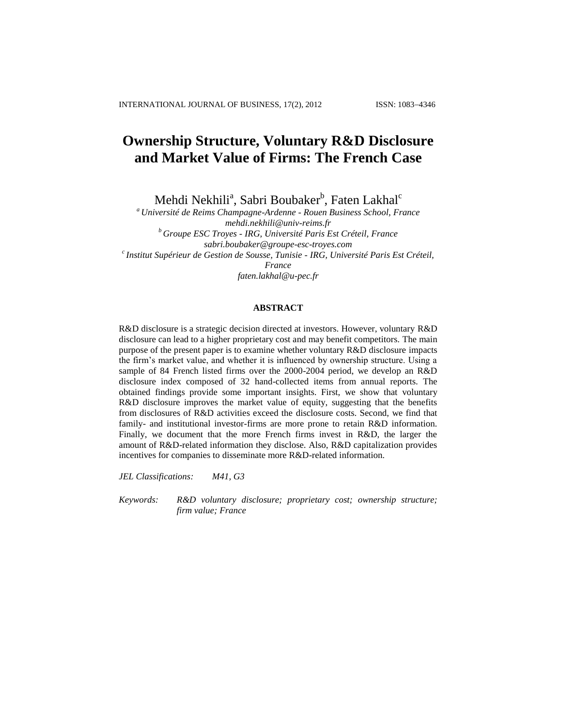# **Ownership Structure, Voluntary R&D Disclosure and Market Value of Firms: The French Case**

Mehdi Nekhili<sup>a</sup>, Sabri Boubaker<sup>b</sup>, Faten Lakhal<sup>c</sup>

*<sup>a</sup> Université de Reims Champagne-Ardenne - Rouen Business School, France [mehdi.nekhili@univ-reims.fr](mailto:mehdi.nekhili@univ-reims.fr) <sup>b</sup> Groupe ESC Troyes - IRG, Université Paris Est Créteil, France sabri.boubaker@groupe-esc-troyes.com c Institut Supérieur de Gestion de Sousse, Tunisie - IRG, Université Paris Est Créteil, France faten.lakhal@u-pec.fr*

# **ABSTRACT**

R&D disclosure is a strategic decision directed at investors. However, voluntary R&D disclosure can lead to a higher proprietary cost and may benefit competitors. The main purpose of the present paper is to examine whether voluntary R&D disclosure impacts the firm's market value, and whether it is influenced by ownership structure. Using a sample of 84 French listed firms over the 2000-2004 period, we develop an R&D disclosure index composed of 32 hand-collected items from annual reports. The obtained findings provide some important insights. First, we show that voluntary R&D disclosure improves the market value of equity, suggesting that the benefits from disclosures of R&D activities exceed the disclosure costs. Second, we find that family- and institutional investor-firms are more prone to retain R&D information. Finally, we document that the more French firms invest in R&D, the larger the amount of R&D-related information they disclose. Also, R&D capitalization provides incentives for companies to disseminate more R&D-related information.

*JEL Classifications: M41, G3*

*Keywords: R&D voluntary disclosure; proprietary cost; ownership structure; firm value; France*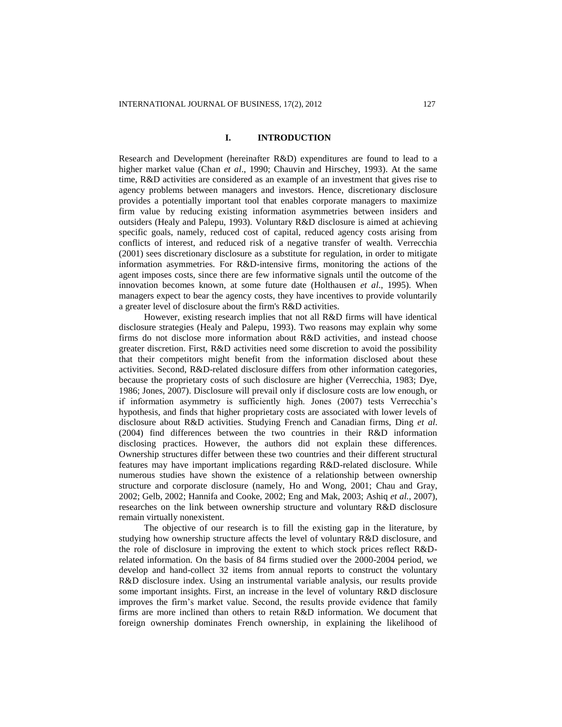### **I. INTRODUCTION**

Research and Development (hereinafter R&D) expenditures are found to lead to a higher market value (Chan *et al*., 1990; Chauvin and Hirschey, 1993). At the same time, R&D activities are considered as an example of an investment that gives rise to agency problems between managers and investors. Hence, discretionary disclosure provides a potentially important tool that enables corporate managers to maximize firm value by reducing existing information asymmetries between insiders and outsiders (Healy and Palepu, 1993). Voluntary R&D disclosure is aimed at achieving specific goals, namely, reduced cost of capital, reduced agency costs arising from conflicts of interest, and reduced risk of a negative transfer of wealth. Verrecchia (2001) sees discretionary disclosure as a substitute for regulation, in order to mitigate information asymmetries. For R&D-intensive firms, monitoring the actions of the agent imposes costs, since there are few informative signals until the outcome of the innovation becomes known, at some future date (Holthausen *et al*., 1995). When managers expect to bear the agency costs, they have incentives to provide voluntarily a greater level of disclosure about the firm's R&D activities.

However, existing research implies that not all R&D firms will have identical disclosure strategies (Healy and Palepu, 1993). Two reasons may explain why some firms do not disclose more information about R&D activities, and instead choose greater discretion. First, R&D activities need some discretion to avoid the possibility that their competitors might benefit from the information disclosed about these activities. Second, R&D-related disclosure differs from other information categories, because the proprietary costs of such disclosure are higher (Verrecchia, 1983; Dye, 1986; Jones, 2007). Disclosure will prevail only if disclosure costs are low enough, or if information asymmetry is sufficiently high. Jones (2007) tests Verrecchia's hypothesis, and finds that higher proprietary costs are associated with lower levels of disclosure about R&D activities. Studying French and Canadian firms, Ding *et al*. (2004) find differences between the two countries in their R&D information disclosing practices. However, the authors did not explain these differences. Ownership structures differ between these two countries and their different structural features may have important implications regarding R&D-related disclosure. While numerous studies have shown the existence of a relationship between ownership structure and corporate disclosure (namely, Ho and Wong, 2001; Chau and Gray, 2002; Gelb, 2002; Hannifa and Cooke, 2002; Eng and Mak, 2003; Ashiq *et al.*, 2007), researches on the link between ownership structure and voluntary R&D disclosure remain virtually nonexistent.

The objective of our research is to fill the existing gap in the literature, by studying how ownership structure affects the level of voluntary R&D disclosure, and the role of disclosure in improving the extent to which stock prices reflect R&Drelated information. On the basis of 84 firms studied over the 2000-2004 period, we develop and hand-collect 32 items from annual reports to construct the voluntary R&D disclosure index. Using an instrumental variable analysis, our results provide some important insights. First, an increase in the level of voluntary R&D disclosure improves the firm's market value. Second, the results provide evidence that family firms are more inclined than others to retain R&D information. We document that foreign ownership dominates French ownership, in explaining the likelihood of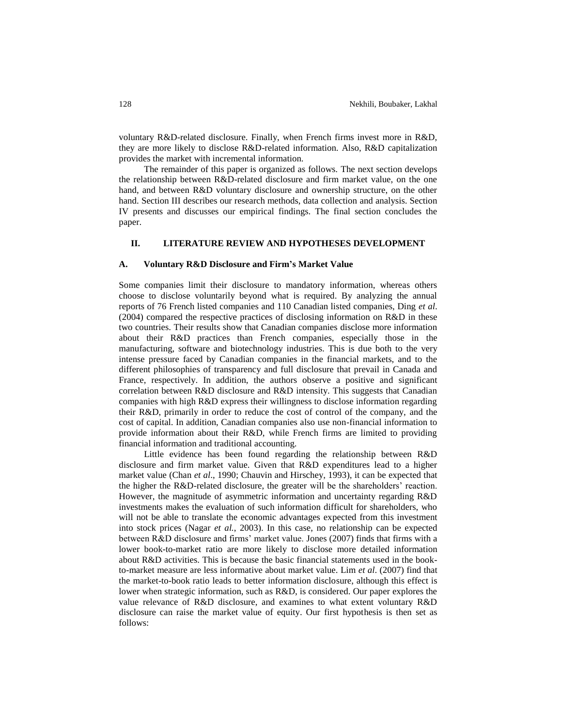voluntary R&D-related disclosure. Finally, when French firms invest more in R&D, they are more likely to disclose R&D-related information. Also, R&D capitalization provides the market with incremental information.

The remainder of this paper is organized as follows. The next section develops the relationship between R&D-related disclosure and firm market value, on the one hand, and between R&D voluntary disclosure and ownership structure, on the other hand. Section III describes our research methods, data collection and analysis. Section IV presents and discusses our empirical findings. The final section concludes the paper.

# **II. LITERATURE REVIEW AND HYPOTHESES DEVELOPMENT**

### **A. Voluntary R&D Disclosure and Firm's Market Value**

Some companies limit their disclosure to mandatory information, whereas others choose to disclose voluntarily beyond what is required. By analyzing the annual reports of 76 French listed companies and 110 Canadian listed companies, Ding *et al*. (2004) compared the respective practices of disclosing information on R&D in these two countries. Their results show that Canadian companies disclose more information about their R&D practices than French companies, especially those in the manufacturing, software and biotechnology industries. This is due both to the very intense pressure faced by Canadian companies in the financial markets, and to the different philosophies of transparency and full disclosure that prevail in Canada and France, respectively. In addition, the authors observe a positive and significant correlation between R&D disclosure and R&D intensity. This suggests that Canadian companies with high R&D express their willingness to disclose information regarding their R&D, primarily in order to reduce the cost of control of the company, and the cost of capital. In addition, Canadian companies also use non-financial information to provide information about their R&D, while French firms are limited to providing financial information and traditional accounting.

Little evidence has been found regarding the relationship between R&D disclosure and firm market value. Given that R&D expenditures lead to a higher market value (Chan *et al*., 1990; Chauvin and Hirschey, 1993), it can be expected that the higher the R&D-related disclosure, the greater will be the shareholders' reaction. However, the magnitude of asymmetric information and uncertainty regarding R&D investments makes the evaluation of such information difficult for shareholders, who will not be able to translate the economic advantages expected from this investment into stock prices (Nagar *et al.*, 2003). In this case, no relationship can be expected between R&D disclosure and firms' market value. Jones (2007) finds that firms with a lower book-to-market ratio are more likely to disclose more detailed information about R&D activities. This is because the basic financial statements used in the bookto-market measure are less informative about market value. Lim *et al*. (2007) find that the market-to-book ratio leads to better information disclosure, although this effect is lower when strategic information, such as R&D, is considered. Our paper explores the value relevance of R&D disclosure, and examines to what extent voluntary R&D disclosure can raise the market value of equity. Our first hypothesis is then set as follows: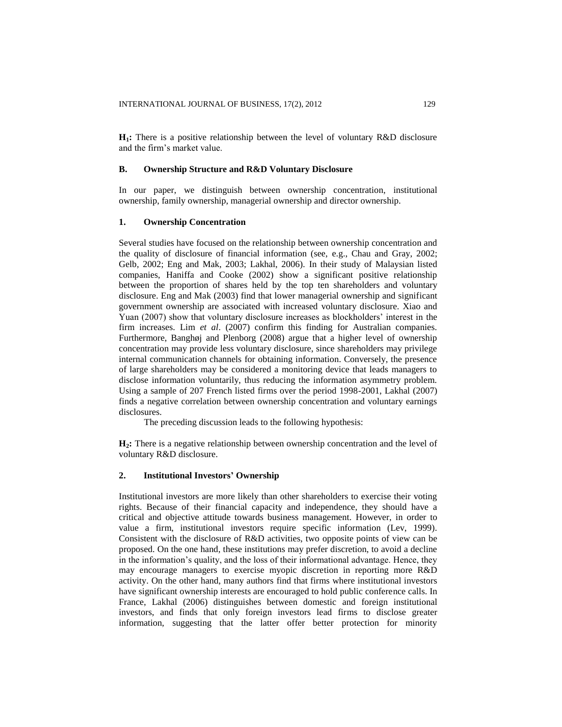**H1:** There is a positive relationship between the level of voluntary R&D disclosure and the firm's market value.

### **B. Ownership Structure and R&D Voluntary Disclosure**

In our paper, we distinguish between ownership concentration, institutional ownership, family ownership, managerial ownership and director ownership.

# **1. Ownership Concentration**

Several studies have focused on the relationship between ownership concentration and the quality of disclosure of financial information (see, e.g., Chau and Gray, 2002; Gelb, 2002; Eng and Mak, 2003; Lakhal, 2006). In their study of Malaysian listed companies, Haniffa and Cooke (2002) show a significant positive relationship between the proportion of shares held by the top ten shareholders and voluntary disclosure. Eng and Mak (2003) find that lower managerial ownership and significant government ownership are associated with increased voluntary disclosure. Xiao and Yuan (2007) show that voluntary disclosure increases as blockholders' interest in the firm increases. Lim *et al*. (2007) confirm this finding for Australian companies. Furthermore, Banghøj and Plenborg (2008) argue that a higher level of ownership concentration may provide less voluntary disclosure, since shareholders may privilege internal communication channels for obtaining information. Conversely, the presence of large shareholders may be considered a monitoring device that leads managers to disclose information voluntarily, thus reducing the information asymmetry problem. Using a sample of 207 French listed firms over the period 1998-2001, Lakhal (2007) finds a negative correlation between ownership concentration and voluntary earnings disclosures.

The preceding discussion leads to the following hypothesis:

H<sub>2</sub>: There is a negative relationship between ownership concentration and the level of voluntary R&D disclosure.

# **2. Institutional Investors' Ownership**

Institutional investors are more likely than other shareholders to exercise their voting rights. Because of their financial capacity and independence, they should have a critical and objective attitude towards business management. However, in order to value a firm, institutional investors require specific information (Lev, 1999). Consistent with the disclosure of R&D activities, two opposite points of view can be proposed. On the one hand, these institutions may prefer discretion, to avoid a decline in the information's quality, and the loss of their informational advantage. Hence, they may encourage managers to exercise myopic discretion in reporting more R&D activity. On the other hand, many authors find that firms where institutional investors have significant ownership interests are encouraged to hold public conference calls. In France, Lakhal (2006) distinguishes between domestic and foreign institutional investors, and finds that only foreign investors lead firms to disclose greater information, suggesting that the latter offer better protection for minority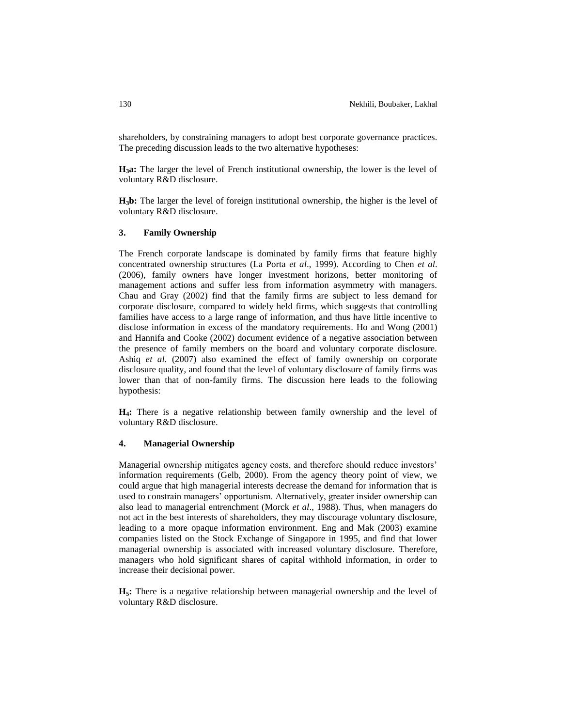shareholders, by constraining managers to adopt best corporate governance practices. The preceding discussion leads to the two alternative hypotheses:

**H3a:** The larger the level of French institutional ownership, the lower is the level of voluntary R&D disclosure.

**H3b:** The larger the level of foreign institutional ownership, the higher is the level of voluntary R&D disclosure.

### **3. Family Ownership**

The French corporate landscape is dominated by family firms that feature highly concentrated ownership structures (La Porta *et al*., 1999). According to Chen *et al*. (2006), family owners have longer investment horizons, better monitoring of management actions and suffer less from information asymmetry with managers. Chau and Gray (2002) find that the family firms are subject to less demand for corporate disclosure, compared to widely held firms, which suggests that controlling families have access to a large range of information, and thus have little incentive to disclose information in excess of the mandatory requirements. Ho and Wong (2001) and Hannifa and Cooke (2002) document evidence of a negative association between the presence of family members on the board and voluntary corporate disclosure. Ashiq *et al.* (2007) also examined the effect of family ownership on corporate disclosure quality, and found that the level of voluntary disclosure of family firms was lower than that of non-family firms. The discussion here leads to the following hypothesis:

**H4:** There is a negative relationship between family ownership and the level of voluntary R&D disclosure.

# **4. Managerial Ownership**

Managerial ownership mitigates agency costs, and therefore should reduce investors' information requirements (Gelb, 2000). From the agency theory point of view, we could argue that high managerial interests decrease the demand for information that is used to constrain managers' opportunism. Alternatively, greater insider ownership can also lead to managerial entrenchment (Morck *et al*., 1988). Thus, when managers do not act in the best interests of shareholders, they may discourage voluntary disclosure, leading to a more opaque information environment. Eng and Mak (2003) examine companies listed on the Stock Exchange of Singapore in 1995, and find that lower managerial ownership is associated with increased voluntary disclosure. Therefore, managers who hold significant shares of capital withhold information, in order to increase their decisional power.

**H5:** There is a negative relationship between managerial ownership and the level of voluntary R&D disclosure.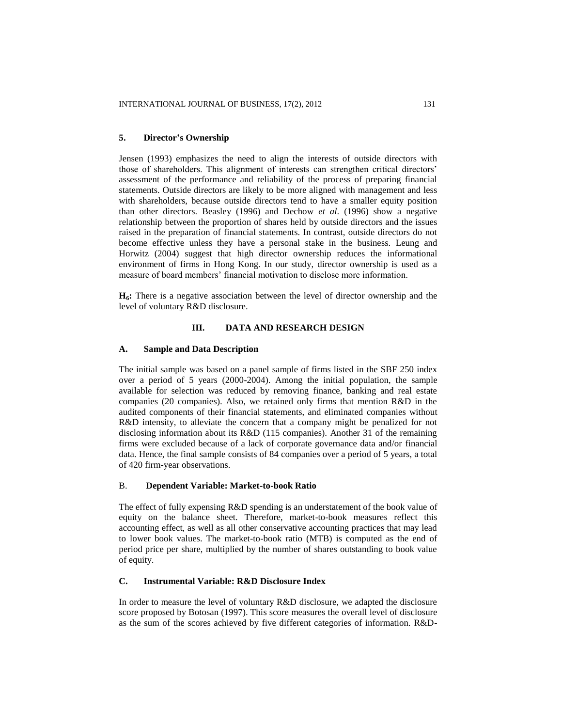### **5. Director's Ownership**

Jensen (1993) emphasizes the need to align the interests of outside directors with those of shareholders. This alignment of interests can strengthen critical directors' assessment of the performance and reliability of the process of preparing financial statements. Outside directors are likely to be more aligned with management and less with shareholders, because outside directors tend to have a smaller equity position than other directors. Beasley (1996) and Dechow *et al*. (1996) show a negative relationship between the proportion of shares held by outside directors and the issues raised in the preparation of financial statements. In contrast, outside directors do not become effective unless they have a personal stake in the business. Leung and Horwitz (2004) suggest that high director ownership reduces the informational environment of firms in Hong Kong. In our study, director ownership is used as a measure of board members' financial motivation to disclose more information.

**H6:** There is a negative association between the level of director ownership and the level of voluntary R&D disclosure.

# **III. DATA AND RESEARCH DESIGN**

### **A. Sample and Data Description**

The initial sample was based on a panel sample of firms listed in the SBF 250 index over a period of 5 years (2000-2004). Among the initial population, the sample available for selection was reduced by removing finance, banking and real estate companies (20 companies). Also, we retained only firms that mention R&D in the audited components of their financial statements, and eliminated companies without R&D intensity, to alleviate the concern that a company might be penalized for not disclosing information about its R&D (115 companies). Another 31 of the remaining firms were excluded because of a lack of corporate governance data and/or financial data. Hence, the final sample consists of 84 companies over a period of 5 years, a total of 420 firm-year observations.

# B. **Dependent Variable: Market-to-book Ratio**

The effect of fully expensing R&D spending is an understatement of the book value of equity on the balance sheet. Therefore, market-to-book measures reflect this accounting effect, as well as all other conservative accounting practices that may lead to lower book values. The market-to-book ratio (MTB) is computed as the end of period price per share, multiplied by the number of shares outstanding to book value of equity.

# **C. Instrumental Variable: R&D Disclosure Index**

In order to measure the level of voluntary R&D disclosure, we adapted the disclosure score proposed by Botosan (1997). This score measures the overall level of disclosure as the sum of the scores achieved by five different categories of information. R&D-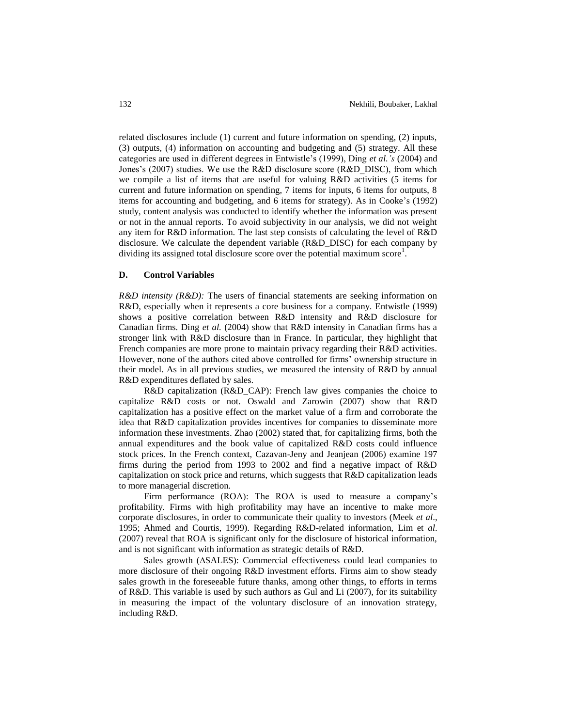related disclosures include (1) current and future information on spending, (2) inputs, (3) outputs, (4) information on accounting and budgeting and (5) strategy. All these categories are used in different degrees in Entwistle's (1999), Ding *et al.'s* (2004) and Jones's (2007) studies. We use the R&D disclosure score (R&D\_DISC), from which we compile a list of items that are useful for valuing R&D activities (5 items for current and future information on spending, 7 items for inputs, 6 items for outputs, 8 items for accounting and budgeting, and 6 items for strategy). As in Cooke's (1992) study, content analysis was conducted to identify whether the information was present or not in the annual reports. To avoid subjectivity in our analysis, we did not weight any item for R&D information. The last step consists of calculating the level of R&D disclosure. We calculate the dependent variable (R&D\_DISC) for each company by dividing its assigned total disclosure score over the potential maximum score<sup>1</sup>.

# **D. Control Variables**

*R&D intensity (R&D):* The users of financial statements are seeking information on R&D, especially when it represents a core business for a company. Entwistle (1999) shows a positive correlation between R&D intensity and R&D disclosure for Canadian firms. Ding *et al.* (2004) show that R&D intensity in Canadian firms has a stronger link with R&D disclosure than in France. In particular, they highlight that French companies are more prone to maintain privacy regarding their R&D activities. However, none of the authors cited above controlled for firms' ownership structure in their model. As in all previous studies, we measured the intensity of R&D by annual R&D expenditures deflated by sales.

R&D capitalization (R&D\_CAP): French law gives companies the choice to capitalize R&D costs or not. Oswald and Zarowin (2007) show that R&D capitalization has a positive effect on the market value of a firm and corroborate the idea that R&D capitalization provides incentives for companies to disseminate more information these investments. Zhao (2002) stated that, for capitalizing firms, both the annual expenditures and the book value of capitalized R&D costs could influence stock prices. In the French context, Cazavan-Jeny and Jeanjean (2006) examine 197 firms during the period from 1993 to 2002 and find a negative impact of R&D capitalization on stock price and returns, which suggests that R&D capitalization leads to more managerial discretion.

Firm performance (ROA): The ROA is used to measure a company's profitability. Firms with high profitability may have an incentive to make more corporate disclosures, in order to communicate their quality to investors (Meek *et al*., 1995; Ahmed and Courtis, 1999). Regarding R&D-related information, Lim et *al*. (2007) reveal that ROA is significant only for the disclosure of historical information, and is not significant with information as strategic details of R&D.

Sales growth ( $\Delta SALES$ ): Commercial effectiveness could lead companies to more disclosure of their ongoing R&D investment efforts. Firms aim to show steady sales growth in the foreseeable future thanks, among other things, to efforts in terms of R&D. This variable is used by such authors as Gul and Li (2007), for its suitability in measuring the impact of the voluntary disclosure of an innovation strategy, including R&D.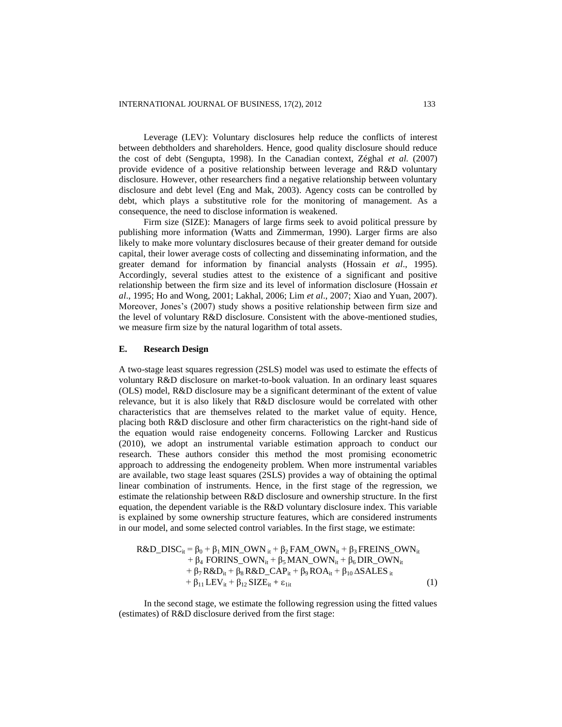Leverage (LEV): Voluntary disclosures help reduce the conflicts of interest between debtholders and shareholders. Hence, good quality disclosure should reduce the cost of debt (Sengupta, 1998). In the Canadian context, Zéghal *et al.* (2007) provide evidence of a positive relationship between leverage and R&D voluntary disclosure. However, other researchers find a negative relationship between voluntary disclosure and debt level (Eng and Mak, 2003). Agency costs can be controlled by debt, which plays a substitutive role for the monitoring of management. As a consequence, the need to disclose information is weakened.

Firm size (SIZE): Managers of large firms seek to avoid political pressure by publishing more information (Watts and Zimmerman, 1990). Larger firms are also likely to make more voluntary disclosures because of their greater demand for outside capital, their lower average costs of collecting and disseminating information, and the greater demand for information by financial analysts (Hossain *et al*., 1995). Accordingly, several studies attest to the existence of a significant and positive relationship between the firm size and its level of information disclosure (Hossain *et al*., 1995; Ho and Wong, 2001; Lakhal, 2006; Lim *et al*., 2007; Xiao and Yuan, 2007). Moreover, Jones's (2007) study shows a positive relationship between firm size and the level of voluntary R&D disclosure. Consistent with the above-mentioned studies, we measure firm size by the natural logarithm of total assets.

### **E. Research Design**

A two-stage least squares regression (2SLS) model was used to estimate the effects of voluntary R&D disclosure on market-to-book valuation. In an ordinary least squares (OLS) model, R&D disclosure may be a significant determinant of the extent of value relevance, but it is also likely that R&D disclosure would be correlated with other characteristics that are themselves related to the market value of equity. Hence, placing both R&D disclosure and other firm characteristics on the right-hand side of the equation would raise endogeneity concerns. Following Larcker and Rusticus (2010), we adopt an instrumental variable estimation approach to conduct our research. These authors consider this method the most promising econometric approach to addressing the endogeneity problem. When more instrumental variables are available, two stage least squares (2SLS) provides a way of obtaining the optimal linear combination of instruments. Hence, in the first stage of the regression, we estimate the relationship between R&D disclosure and ownership structure. In the first equation, the dependent variable is the R&D voluntary disclosure index. This variable is explained by some ownership structure features, which are considered instruments in our model, and some selected control variables. In the first stage, we estimate:

$$
R&D_DISC_{it} = \beta_0 + \beta_1 MIN_OWN_{it} + \beta_2 FAM_OWN_{it} + \beta_3 FREINS_OWN_{it} + \beta_4 FORINS_OWN_{it} + \beta_5 MAN_OWN_{it} + \beta_6 DIR_OWN_{it} + \beta_7 R&D_{it} + \beta_8 R&D_CAP_{it} + \beta_9 ROA_{it} + \beta_{10} \Delta SALES_{it} + \beta_{11} LEV_{it} + \beta_{12} SIZE_{it} + ε_{lit}
$$
\n(1)

In the second stage, we estimate the following regression using the fitted values (estimates) of R&D disclosure derived from the first stage: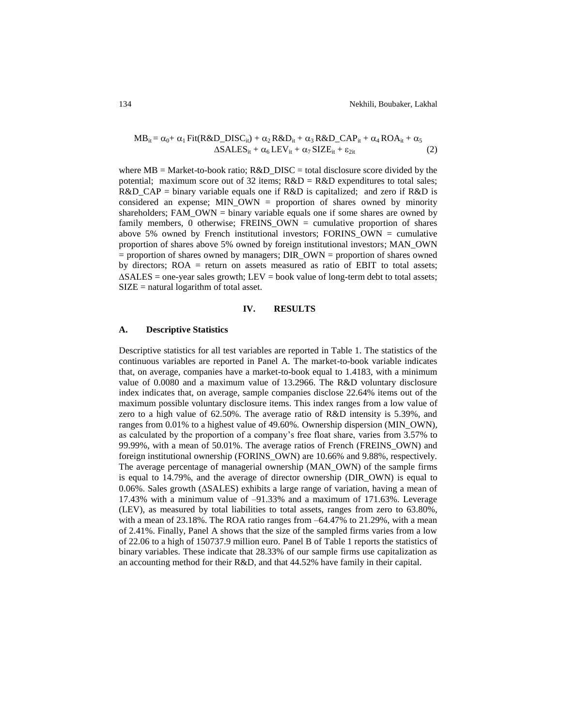$$
MB_{it} = \alpha_0 + \alpha_1 Fit(R&D_DISC_{it}) + \alpha_2 R&D_{it} + \alpha_3 R&D_CAP_{it} + \alpha_4 ROA_{it} + \alpha_5
$$
  
\n
$$
\Delta SALES_{it} + \alpha_6 LEV_{it} + \alpha_7 SIZE_{it} + \epsilon_{2it}
$$
\n(2)

where MB = Market-to-book ratio; R&D\_DISC = total disclosure score divided by the potential; maximum score out of 32 items;  $R&D = R&D$  expenditures to total sales;  $R&D_CAP = \text{binary variable equals one if } R&D \text{ is capitalized; and zero if } R&D \text{ is}$ considered an expense; MIN\_OWN = proportion of shares owned by minority shareholders; FAM\_OWN = binary variable equals one if some shares are owned by family members, 0 otherwise; FREINS\_OWN = cumulative proportion of shares above 5% owned by French institutional investors; FORINS OWN = cumulative proportion of shares above 5% owned by foreign institutional investors; MAN\_OWN = proportion of shares owned by managers; DIR\_OWN = proportion of shares owned by directors; ROA = return on assets measured as ratio of EBIT to total assets;  $\triangle SALES =$  one-year sales growth; LEV = book value of long-term debt to total assets;  $SIZE =$  natural logarithm of total asset.

### **IV. RESULTS**

### **A. Descriptive Statistics**

Descriptive statistics for all test variables are reported in Table 1. The statistics of the continuous variables are reported in Panel A. The market-to-book variable indicates that, on average, companies have a market-to-book equal to 1.4183, with a minimum value of 0.0080 and a maximum value of 13.2966. The R&D voluntary disclosure index indicates that, on average, sample companies disclose 22.64% items out of the maximum possible voluntary disclosure items. This index ranges from a low value of zero to a high value of 62.50%. The average ratio of R&D intensity is 5.39%, and ranges from 0.01% to a highest value of 49.60%. Ownership dispersion (MIN\_OWN), as calculated by the proportion of a company's free float share, varies from 3.57% to 99.99%, with a mean of 50.01%. The average ratios of French (FREINS\_OWN) and foreign institutional ownership (FORINS\_OWN) are 10.66% and 9.88%, respectively. The average percentage of managerial ownership (MAN\_OWN) of the sample firms is equal to 14.79%, and the average of director ownership (DIR\_OWN) is equal to 0.06%. Sales growth  $(ASALES)$  exhibits a large range of variation, having a mean of 17.43% with a minimum value of –91.33% and a maximum of 171.63%. Leverage (LEV), as measured by total liabilities to total assets, ranges from zero to 63.80%, with a mean of 23.18%. The ROA ratio ranges from –64.47% to 21.29%, with a mean of 2.41%. Finally, Panel A shows that the size of the sampled firms varies from a low of 22.06 to a high of 150737.9 million euro. Panel B of Table 1 reports the statistics of binary variables. These indicate that 28.33% of our sample firms use capitalization as an accounting method for their R&D, and that 44.52% have family in their capital.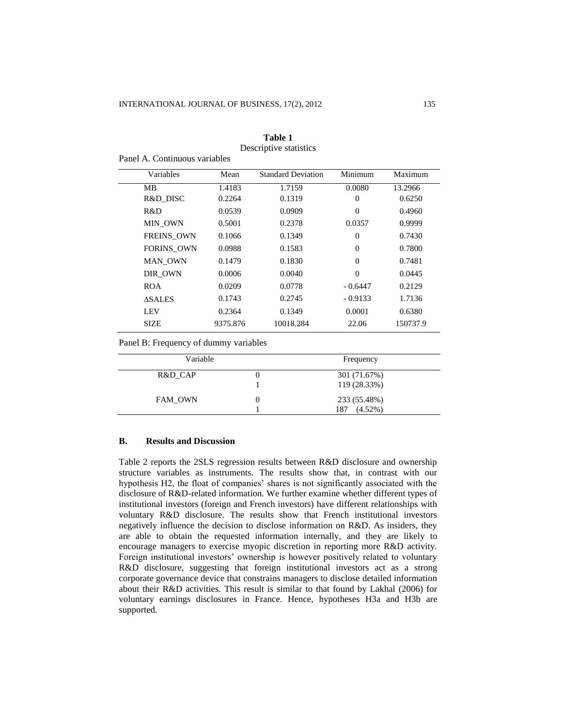| Variables         | Mean     | <b>Standard Deviation</b> | Minimum   | Maximum  |
|-------------------|----------|---------------------------|-----------|----------|
| MВ                | 1.4183   | 1.7159                    | 0.0080    | 13.2966  |
| R&D DISC          | 0.2264   | 0.1319                    | $\theta$  | 0.6250   |
| R&D               | 0.0539   | 0.0909                    | $\Omega$  | 0.4960   |
| MIN OWN           | 0.5001   | 0.2378                    | 0.0357    | 0.9999   |
| <b>FREINS OWN</b> | 0.1066   | 0.1349                    | $\theta$  | 0.7430   |
| <b>FORINS OWN</b> | 0.0988   | 0.1583                    | $\theta$  | 0.7800   |
| MAN OWN           | 0.1479   | 0.1830                    | $\theta$  | 0.7481   |
| DIR OWN           | 0.0006   | 0.0040                    | $\theta$  | 0.0445   |
| <b>ROA</b>        | 0.0209   | 0.0778                    | $-0.6447$ | 0.2129   |
| <b>ASALES</b>     | 0.1743   | 0.2745                    | $-0.9133$ | 1.7136   |
| LEV               | 0.2364   | 0.1349                    | 0.0001    | 0.6380   |
| <b>SIZE</b>       | 9375.876 | 10018.284                 | 22.06     | 150737.9 |

### **Table 1** Descriptive statistics

Panel A. Continuous variables

Panel B: Frequency of dummy variables

| Variable |   | Frequency                         |  |
|----------|---|-----------------------------------|--|
| R&D CAP  |   | 301 (71.67%)<br>119 (28.33%)      |  |
| FAM OWN  | 0 | 233 (55.48%)<br>$(4.52\%)$<br>187 |  |

### **B. Results and Discussion**

Table 2 reports the 2SLS regression results between R&D disclosure and ownership structure variables as instruments. The results show that, in contrast with our hypothesis H2, the float of companies' shares is not significantly associated with the disclosure of R&D-related information. We further examine whether different types of institutional investors (foreign and French investors) have different relationships with voluntary R&D disclosure. The results show that French institutional investors negatively influence the decision to disclose information on R&D. As insiders, they are able to obtain the requested information internally, and they are likely to encourage managers to exercise myopic discretion in reporting more R&D activity. Foreign institutional investors' ownership is however positively related to voluntary R&D disclosure, suggesting that foreign institutional investors act as a strong corporate governance device that constrains managers to disclose detailed information about their R&D activities. This result is similar to that found by Lakhal (2006) for voluntary earnings disclosures in France. Hence, hypotheses H3a and H3b are supported.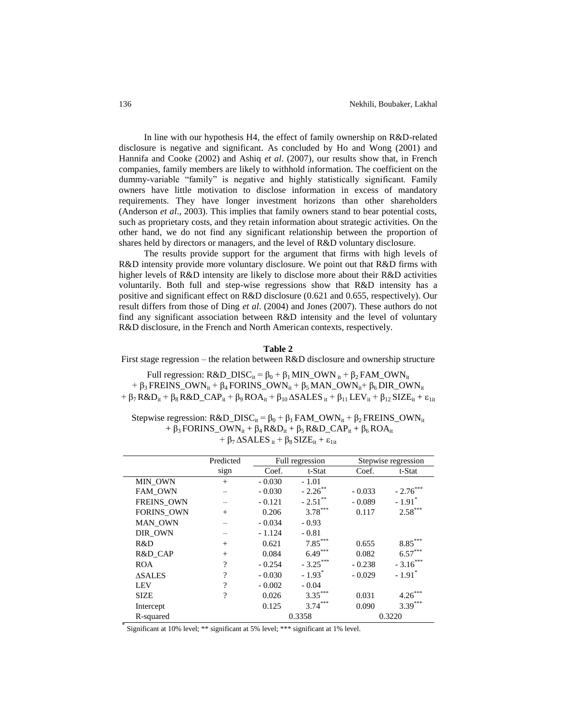0.3088

In line with our hypothesis H4, the effect of family ownership on R&D-related disclosure is negative and significant. As concluded by Ho and Wong (2001) and Hannifa and Cooke (2002) and Ashiq *et al*. (2007), our results show that, in French companies, family members are likely to withhold information. The coefficient on the dummy-variable "family" is negative and highly statistically significant. Family owners have little motivation to disclose information in excess of mandatory requirements. They have longer investment horizons than other shareholders (Anderson *et al*., 2003). This implies that family owners stand to bear potential costs, such as proprietary costs, and they retain information about strategic activities. On the other hand, we do not find any significant relationship between the proportion of shares held by directors or managers, and the level of R&D voluntary disclosure.

The results provide support for the argument that firms with high levels of R&D intensity provide more voluntary disclosure. We point out that R&D firms with higher levels of R&D intensity are likely to disclose more about their R&D activities voluntarily. Both full and step-wise regressions show that R&D intensity has a positive and significant effect on R&D disclosure (0.621 and 0.655, respectively). Our result differs from those of Ding *et al*. (2004) and Jones (2007). These authors do not find any significant association between R&D intensity and the level of voluntary R&D disclosure, in the French and North American contexts, respectively.

# **Table 2**

First stage regression – the relation between R&D disclosure and ownership structure

Full regression: R&D\_DISC<sub>it</sub> =  $β_0 + β_1$  MIN\_OWN <sub>it</sub> +  $β_2$  FAM\_OWN<sub>it</sub> +  $\beta_3$  FREINS\_OWN<sub>it</sub> +  $\beta_4$  FORINS\_OWN<sub>it</sub> +  $\beta_5$  MAN\_OWN<sub>it</sub> +  $\beta_6$  DIR\_OWN<sub>it</sub> +  $\beta_7$  R&D<sub>it</sub> +  $\beta_8$  R&D\_CAP<sub>it</sub> +  $\beta_9$  ROA<sub>it</sub> +  $\beta_{10}$   $\triangle SALES$ <sub>it</sub> +  $\beta_{11}$  LEV<sub>it</sub> +  $\beta_{12}$  SIZE<sub>it</sub> +  $\varepsilon$ <sub>lit</sub>

Stepwise regression:  $R&D_DISC_{it} = \beta_0 + \beta_1 FAM_OWN_{it} + \beta_2 FREINS_OWN_{it}$ +  $\beta_3$  FORINS\_OWN<sub>it</sub> +  $\beta_4$  R&D<sub>it</sub> +  $\beta_5$  R&D\_CAP<sub>it</sub> +  $\beta_6$  ROA<sub>it</sub> +  $\beta$ <sub>7</sub>  $\triangle$ SALES<sub>it</sub> +  $\beta$ <sub>8</sub> SIZE<sub>it</sub> +  $\varepsilon$ <sub>1it</sub>

|                   | Predicted          | Full regression |                      | Stepwise regression |                       |
|-------------------|--------------------|-----------------|----------------------|---------------------|-----------------------|
|                   | sign               | Coef.           | t-Stat               | Coef.               | t-Stat                |
| MIN OWN           | $^{+}$             | $-0.030$        | $-1.01$              |                     |                       |
| FAM OWN           |                    | $-0.030$        | $-2.26$ **           | $-0.033$            | $-2.76$ ***           |
| <b>FREINS OWN</b> |                    | $-0.121$        | $-2.51$ **           | $-0.089$            | $-1.91$ <sup>*</sup>  |
| <b>FORINS OWN</b> | $^{+}$             | 0.206           | $3.78***$            | 0.117               | $2.58***$             |
| MAN_OWN           |                    | $-0.034$        | $-0.93$              |                     |                       |
| DIR OWN           |                    | $-1.124$        | $-0.81$              |                     |                       |
| R&D               | $^{+}$             | 0.621           | $7.85***$            | 0.655               | $8.85^{\ast\ast\ast}$ |
| R&D CAP           | $^{+}$             | 0.084           | $6.49***$            | 0.082               | $6.57***$             |
| <b>ROA</b>        | $\overline{\cdot}$ | $-0.254$        | $-3.25***$           | $-0.238$            | $-3.16***$            |
| <b>ASALES</b>     | $\overline{\cdot}$ | $-0.030$        | $-1.93$ <sup>*</sup> | $-0.029$            | $-1.91$ <sup>*</sup>  |
| LEV               | $\gamma$           | $-0.002$        | $-0.04$              |                     |                       |
| <b>SIZE</b>       | $\gamma$           | 0.026           | $3.35***$            | 0.031               | $4.26^{\degree}$      |
| Intercept         |                    | 0.125           | $3.74***$            | 0.090               | $3.39***$             |
| R-squared         |                    |                 | 0.3358               |                     | 0.3220                |

 $m$ ificant at  $10\%$ chi2 signific Significant at 10% level; \*\* significant at 5% level; \*\*\* significant at 1% level. \*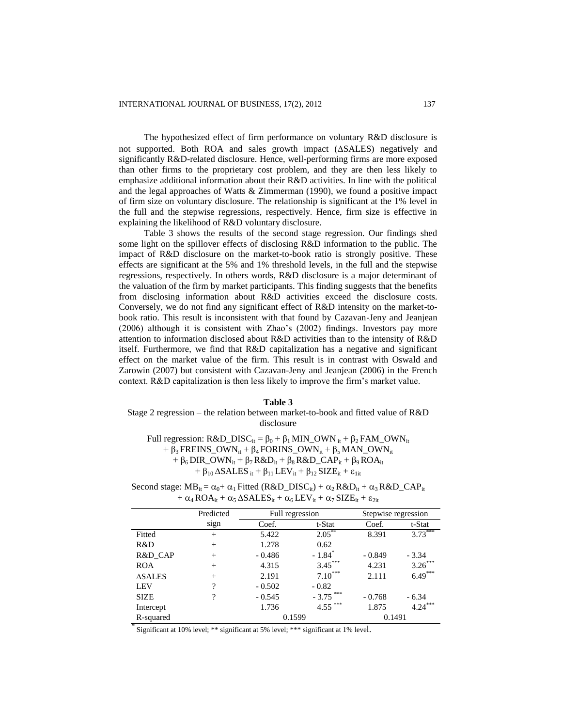The hypothesized effect of firm performance on voluntary R&D disclosure is not supported. Both ROA and sales growth impact  $(ASALES)$  negatively and significantly R&D-related disclosure. Hence, well-performing firms are more exposed than other firms to the proprietary cost problem, and they are then less likely to emphasize additional information about their R&D activities. In line with the political and the legal approaches of Watts & Zimmerman (1990), we found a positive impact of firm size on voluntary disclosure. The relationship is significant at the 1% level in the full and the stepwise regressions, respectively. Hence, firm size is effective in explaining the likelihood of R&D voluntary disclosure.

Table 3 shows the results of the second stage regression. Our findings shed some light on the spillover effects of disclosing R&D information to the public. The impact of R&D disclosure on the market-to-book ratio is strongly positive. These effects are significant at the 5% and 1% threshold levels, in the full and the stepwise regressions, respectively. In others words, R&D disclosure is a major determinant of the valuation of the firm by market participants. This finding suggests that the benefits from disclosing information about R&D activities exceed the disclosure costs. Conversely, we do not find any significant effect of R&D intensity on the market-tobook ratio. This result is inconsistent with that found by Cazavan-Jeny and Jeanjean (2006) although it is consistent with Zhao's (2002) findings. Investors pay more attention to information disclosed about R&D activities than to the intensity of R&D itself. Furthermore, we find that R&D capitalization has a negative and significant effect on the market value of the firm. This result is in contrast with Oswald and Zarowin (2007) but consistent with Cazavan-Jeny and Jeanjean (2006) in the French context. R&D capitalization is then less likely to improve the firm's market value.

### **Table 3**

# Stage 2 regression – the relation between market-to-book and fitted value of R&D disclosure

Full regression: R&D\_DISC<sub>it</sub> =  $β_0 + β_1 MIN_0WN_{it} + β_2 FAM_0WN_{it}$  $+ \beta_3$  FREINS\_OWN<sub>it</sub> +  $\beta_4$  FORINS\_OWN<sub>it</sub> +  $\beta_5$  MAN\_OWN<sub>it</sub> +  $\beta_6$  DIR\_OWN<sub>it</sub> +  $\beta_7$  R&D<sub>it</sub> +  $\beta_8$  R&D\_CAP<sub>it</sub> +  $\beta_9$  ROA<sub>it</sub>  $+ \beta_{10} \Delta SALES_{it} + \beta_{11} LEV_{it} + \beta_{12} SIZE_{it} + \epsilon_{1it}$ 

Second stage:  $MB_{it} = \alpha_0 + \alpha_1$  Fitted (R&D\_DISC<sub>it</sub>) +  $\alpha_2$  R&D<sub>it</sub> +  $\alpha_3$  R&D\_CAP<sub>it</sub> +  $\alpha_4$  ROA<sub>it</sub> +  $\alpha_5$   $\Delta SALES_{it} + \alpha_6$  LEV<sub>it</sub> +  $\alpha_7$  SIZE<sub>it</sub> +  $\epsilon_{2it}$ 

|               | Predicted | Full regression |                      | Stepwise regression |           |
|---------------|-----------|-----------------|----------------------|---------------------|-----------|
|               | sign      | Coef.           | t-Stat               | Coef.               | t-Stat    |
| Fitted        | $^{+}$    | 5.422           | $2.05***$            | 8.391               | $3.73***$ |
| R&D           | $^{+}$    | 1.278           | 0.62                 |                     |           |
| R&D CAP       | $^{+}$    | $-0.486$        | $-1.84$ <sup>*</sup> | $-0.849$            | $-3.34$   |
| <b>ROA</b>    | $^{+}$    | 4.315           | $3.45***$            | 4.231               | $3.26***$ |
| <b>ASALES</b> | $^{+}$    | 2.191           | $7.10***$            | 2.111               | $6.49***$ |
| <b>LEV</b>    | ?         | $-0.502$        | $-0.82$              |                     |           |
| <b>SIZE</b>   | ?         | $-0.545$        | $***$<br>$-3.75$     | $-0.768$            | $-6.34$   |
| Intercept     |           | 1.736           | $4.55***$            | 1.875               | $4.24***$ |
| R-squared     |           | 0.1599          |                      | 0.1491              |           |

<sup>\*</sup>Significant at 10% level; \*\* significant at 5% level; \*\*\* significant at 1% level. Squared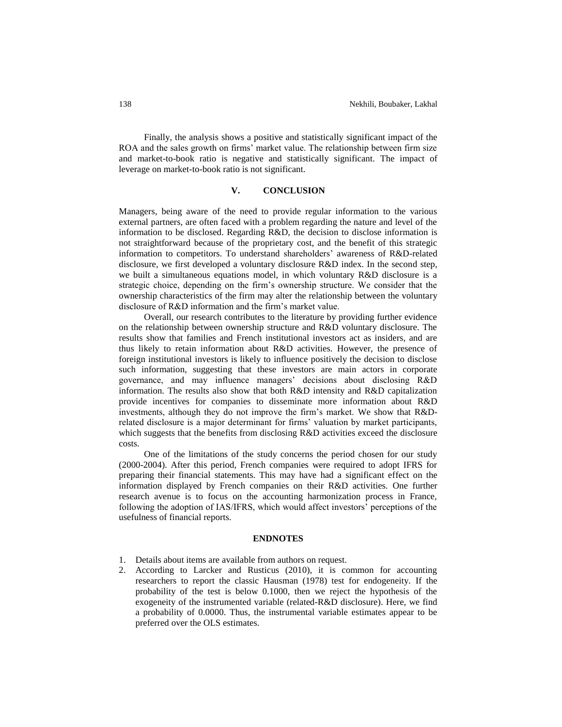Finally, the analysis shows a positive and statistically significant impact of the ROA and the sales growth on firms' market value. The relationship between firm size and market-to-book ratio is negative and statistically significant. The impact of leverage on market-to-book ratio is not significant.

### **V. CONCLUSION**

Managers, being aware of the need to provide regular information to the various external partners, are often faced with a problem regarding the nature and level of the information to be disclosed. Regarding R&D, the decision to disclose information is not straightforward because of the proprietary cost, and the benefit of this strategic information to competitors. To understand shareholders' awareness of R&D-related disclosure, we first developed a voluntary disclosure R&D index. In the second step, we built a simultaneous equations model, in which voluntary R&D disclosure is a strategic choice, depending on the firm's ownership structure. We consider that the ownership characteristics of the firm may alter the relationship between the voluntary disclosure of R&D information and the firm's market value.

Overall, our research contributes to the literature by providing further evidence on the relationship between ownership structure and R&D voluntary disclosure. The results show that families and French institutional investors act as insiders, and are thus likely to retain information about R&D activities. However, the presence of foreign institutional investors is likely to influence positively the decision to disclose such information, suggesting that these investors are main actors in corporate governance, and may influence managers' decisions about disclosing R&D information. The results also show that both R&D intensity and R&D capitalization provide incentives for companies to disseminate more information about R&D investments, although they do not improve the firm's market. We show that R&Drelated disclosure is a major determinant for firms' valuation by market participants, which suggests that the benefits from disclosing R&D activities exceed the disclosure costs.

One of the limitations of the study concerns the period chosen for our study (2000-2004). After this period, French companies were required to adopt IFRS for preparing their financial statements. This may have had a significant effect on the information displayed by French companies on their R&D activities. One further research avenue is to focus on the accounting harmonization process in France, following the adoption of IAS/IFRS, which would affect investors' perceptions of the usefulness of financial reports.

### **ENDNOTES**

- 1. Details about items are available from authors on request.
- 2. According to Larcker and Rusticus (2010), it is common for accounting researchers to report the classic Hausman (1978) test for endogeneity. If the probability of the test is below 0.1000, then we reject the hypothesis of the exogeneity of the instrumented variable (related-R&D disclosure). Here, we find a probability of 0.0000. Thus, the instrumental variable estimates appear to be preferred over the OLS estimates.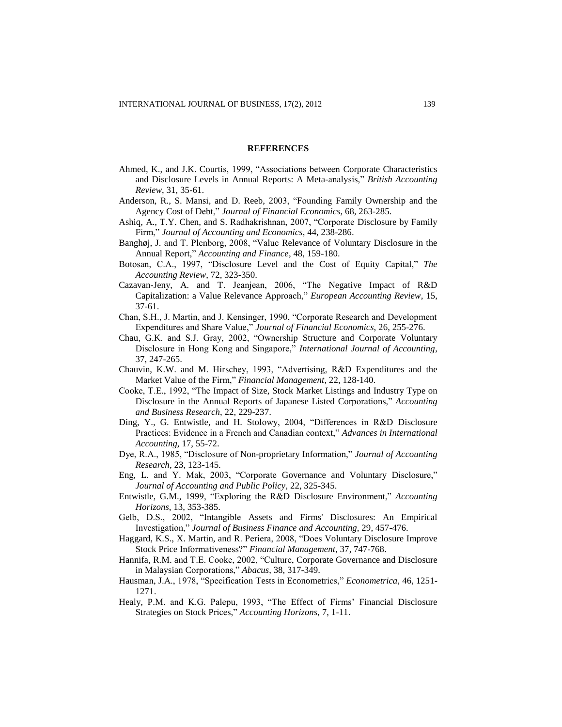#### **REFERENCES**

- Ahmed, K., and J.K. Courtis, 1999, "Associations between Corporate Characteristics and Disclosure Levels in Annual Reports: A Meta-analysis," *British Accounting Review*, 31, 35-61.
- Anderson, R., S. Mansi, and D. Reeb, 2003, "Founding Family Ownership and the Agency Cost of Debt," *Journal of Financial Economics*, 68, 263-285.
- Ashiq, A., T.Y. Chen, and S. Radhakrishnan, 2007, "Corporate Disclosure by Family Firm," *Journal of Accounting and Economics*, 44, 238-286.
- Banghøj, J. and T. Plenborg, 2008, "Value Relevance of Voluntary Disclosure in the Annual Report," *Accounting and Finance*, 48, 159-180.
- Botosan, C.A., 1997, "Disclosure Level and the Cost of Equity Capital," *The Accounting Review*, 72, 323-350.
- Cazavan-Jeny, A. and T. Jeanjean, 2006, "The Negative Impact of R&D Capitalization: a Value Relevance Approach," *European Accounting Review*, 15, 37-61.
- Chan, S.H., J. Martin, and J. Kensinger, 1990, "Corporate Research and Development Expenditures and Share Value," *Journal of Financial Economics*, 26, 255-276.
- Chau, G.K. and S.J. Gray, 2002, "Ownership Structure and Corporate Voluntary Disclosure in Hong Kong and Singapore," *International Journal of Accounting*, 37, 247-265.
- Chauvin, K.W. and M. Hirschey, 1993, "Advertising, R&D Expenditures and the Market Value of the Firm," *Financial Management*, 22, 128-140.
- Cooke, T.E., 1992, "The Impact of Size, Stock Market Listings and Industry Type on Disclosure in the Annual Reports of Japanese Listed Corporations," *Accounting and Business Research*, 22, 229-237.
- Ding, Y., G. Entwistle, and H. Stolowy, 2004, "Differences in R&D Disclosure Practices: Evidence in a French and Canadian context," *Advances in International Accounting*, 17, 55-72.
- Dye, R.A., 1985, "Disclosure of Non-proprietary Information," *Journal of Accounting Research*, 23, 123-145.
- Eng, L. and Y. Mak, 2003, "Corporate Governance and Voluntary Disclosure," *Journal of Accounting and Public Policy*, 22, 325-345.
- Entwistle, G.M., 1999, "Exploring the R&D Disclosure Environment," *Accounting Horizons*, 13, 353-385.
- Gelb, D.S., 2002, "Intangible Assets and Firms' Disclosures: An Empirical Investigation," *Journal of Business Finance and Accounting*, 29, 457-476.
- Haggard, K.S., X. Martin, and R. Periera, 2008, "Does Voluntary Disclosure Improve Stock Price Informativeness?" *Financial Management*, 37, 747-768.
- Hannifa, R.M. and T.E. Cooke, 2002, "Culture, Corporate Governance and Disclosure in Malaysian Corporations," *Abacus*, 38, 317-349.
- Hausman, J.A., 1978, "Specification Tests in Econometrics," *Econometrica*, 46, 1251- 1271.
- Healy, P.M. and K.G. Palepu, 1993, "The Effect of Firms' Financial Disclosure Strategies on Stock Prices," *Accounting Horizons*, 7, 1-11.